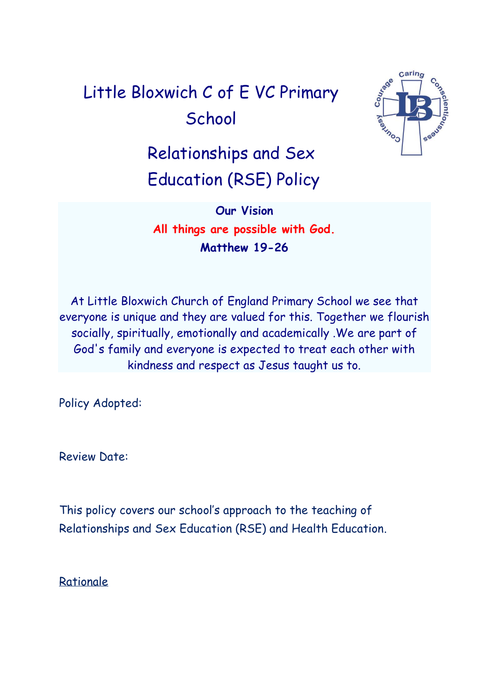# Little Bloxwich C of E VC Primary **School**



# Relationships and Sex Education (RSE) Policy

**Our Vision All things are possible with God. Matthew 19-26**

At Little Bloxwich Church of England Primary School we see that everyone is unique and they are valued for this. Together we flourish socially, spiritually, emotionally and academically .We are part of God's family and everyone is expected to treat each other with kindness and respect as Jesus taught us to.

Policy Adopted:

Review Date:

This policy covers our school's approach to the teaching of Relationships and Sex Education (RSE) and Health Education.

Rationale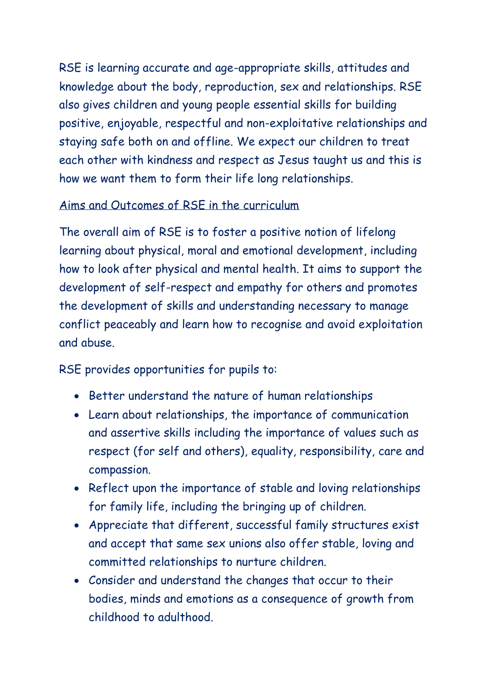RSE is learning accurate and age-appropriate skills, attitudes and knowledge about the body, reproduction, sex and relationships. RSE also gives children and young people essential skills for building positive, enjoyable, respectful and non-exploitative relationships and staying safe both on and offline. We expect our children to treat each other with kindness and respect as Jesus taught us and this is how we want them to form their life long relationships.

#### Aims and Outcomes of RSE in the curriculum

The overall aim of RSE is to foster a positive notion of lifelong learning about physical, moral and emotional development, including how to look after physical and mental health. It aims to support the development of self-respect and empathy for others and promotes the development of skills and understanding necessary to manage conflict peaceably and learn how to recognise and avoid exploitation and abuse.

RSE provides opportunities for pupils to:

- Better understand the nature of human relationships
- Learn about relationships, the importance of communication and assertive skills including the importance of values such as respect (for self and others), equality, responsibility, care and compassion.
- Reflect upon the importance of stable and loving relationships for family life, including the bringing up of children.
- Appreciate that different, successful family structures exist and accept that same sex unions also offer stable, loving and committed relationships to nurture children.
- Consider and understand the changes that occur to their bodies, minds and emotions as a consequence of growth from childhood to adulthood.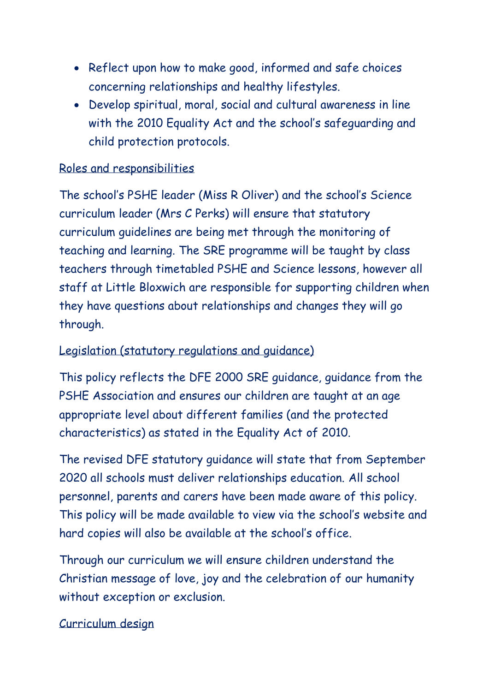- Reflect upon how to make good, informed and safe choices concerning relationships and healthy lifestyles.
- Develop spiritual, moral, social and cultural awareness in line with the 2010 Equality Act and the school's safeguarding and child protection protocols.

## Roles and responsibilities

The school's PSHE leader (Miss R Oliver) and the school's Science curriculum leader (Mrs C Perks) will ensure that statutory curriculum guidelines are being met through the monitoring of teaching and learning. The SRE programme will be taught by class teachers through timetabled PSHE and Science lessons, however all staff at Little Bloxwich are responsible for supporting children when they have questions about relationships and changes they will go through.

#### Legislation (statutory regulations and guidance)

This policy reflects the DFE 2000 SRE guidance, guidance from the PSHE Association and ensures our children are taught at an age appropriate level about different families (and the protected characteristics) as stated in the Equality Act of 2010.

The revised DFE statutory guidance will state that from September 2020 all schools must deliver relationships education. All school personnel, parents and carers have been made aware of this policy. This policy will be made available to view via the school's website and hard copies will also be available at the school's office.

Through our curriculum we will ensure children understand the Christian message of love, joy and the celebration of our humanity without exception or exclusion.

#### Curriculum design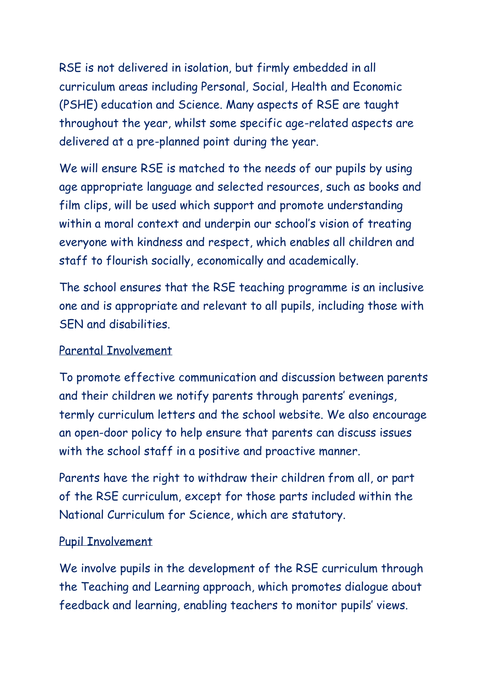RSE is not delivered in isolation, but firmly embedded in all curriculum areas including Personal, Social, Health and Economic (PSHE) education and Science. Many aspects of RSE are taught throughout the year, whilst some specific age-related aspects are delivered at a pre-planned point during the year.

We will ensure RSE is matched to the needs of our pupils by using age appropriate language and selected resources, such as books and film clips, will be used which support and promote understanding within a moral context and underpin our school's vision of treating everyone with kindness and respect, which enables all children and staff to flourish socially, economically and academically.

The school ensures that the RSE teaching programme is an inclusive one and is appropriate and relevant to all pupils, including those with SEN and disabilities.

#### Parental Involvement

To promote effective communication and discussion between parents and their children we notify parents through parents' evenings, termly curriculum letters and the school website. We also encourage an open-door policy to help ensure that parents can discuss issues with the school staff in a positive and proactive manner.

Parents have the right to withdraw their children from all, or part of the RSE curriculum, except for those parts included within the National Curriculum for Science, which are statutory.

#### Pupil Involvement

We involve pupils in the development of the RSE curriculum through the Teaching and Learning approach, which promotes dialogue about feedback and learning, enabling teachers to monitor pupils' views.